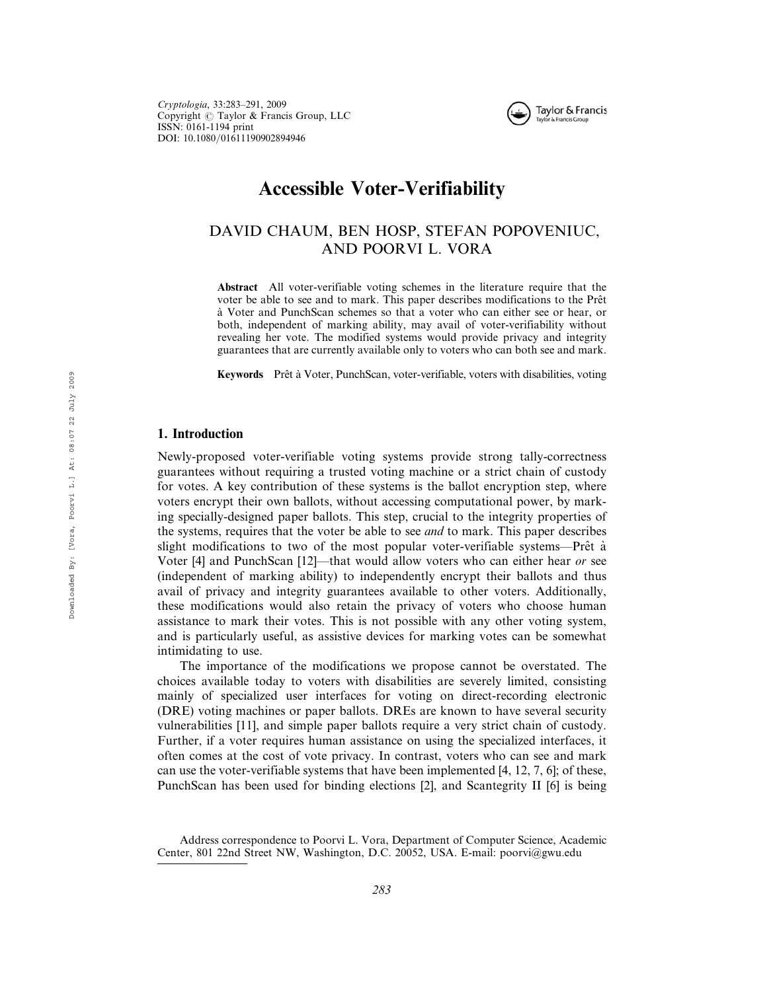

# Accessible Voter-Verifiability

# DAVID CHAUM, BEN HOSP, STEFAN POPOVENIUC, AND POORVI L. VORA

Abstract All voter-verifiable voting schemes in the literature require that the voter be able to see and to mark. This paper describes modifications to the Prêt a` Voter and PunchScan schemes so that a voter who can either see or hear, or both, independent of marking ability, may avail of voter-verifiability without revealing her vote. The modified systems would provide privacy and integrity guarantees that are currently available only to voters who can both see and mark.

Keywords Prêt à Voter, PunchScan, voter-verifiable, voters with disabilities, voting

# 1. Introduction

Newly-proposed voter-verifiable voting systems provide strong tally-correctness guarantees without requiring a trusted voting machine or a strict chain of custody for votes. A key contribution of these systems is the ballot encryption step, where voters encrypt their own ballots, without accessing computational power, by marking specially-designed paper ballots. This step, crucial to the integrity properties of the systems, requires that the voter be able to see and to mark. This paper describes slight modifications to two of the most popular voter-verifiable systems—Prêt  $\dot{a}$ Voter [4] and PunchScan [12]—that would allow voters who can either hear or see (independent of marking ability) to independently encrypt their ballots and thus avail of privacy and integrity guarantees available to other voters. Additionally, these modifications would also retain the privacy of voters who choose human assistance to mark their votes. This is not possible with any other voting system, and is particularly useful, as assistive devices for marking votes can be somewhat intimidating to use.

The importance of the modifications we propose cannot be overstated. The choices available today to voters with disabilities are severely limited, consisting mainly of specialized user interfaces for voting on direct-recording electronic (DRE) voting machines or paper ballots. DREs are known to have several security vulnerabilities [11], and simple paper ballots require a very strict chain of custody. Further, if a voter requires human assistance on using the specialized interfaces, it often comes at the cost of vote privacy. In contrast, voters who can see and mark can use the voter-verifiable systems that have been implemented [4, 12, 7, 6]; of these, PunchScan has been used for binding elections [2], and Scantegrity II [6] is being

Address correspondence to Poorvi L. Vora, Department of Computer Science, Academic Center, 801 22nd Street NW, Washington, D.C. 20052, USA. E-mail: poorvi@gwu.edu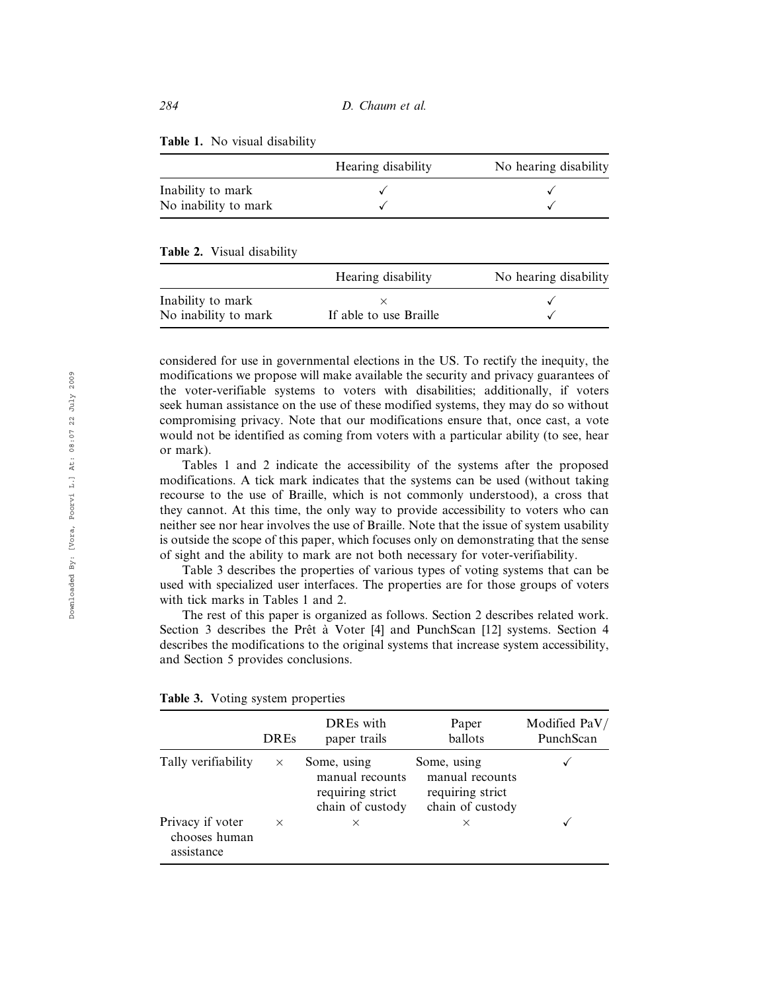|  |  |  |  | Table 1. No visual disability |  |  |
|--|--|--|--|-------------------------------|--|--|
|--|--|--|--|-------------------------------|--|--|

|                      | Hearing disability | No hearing disability |
|----------------------|--------------------|-----------------------|
| Inability to mark    |                    |                       |
| No inability to mark |                    |                       |

#### Table 2. Visual disability

|                      | Hearing disability     | No hearing disability |
|----------------------|------------------------|-----------------------|
| Inability to mark    |                        |                       |
| No inability to mark | If able to use Braille |                       |

considered for use in governmental elections in the US. To rectify the inequity, the modifications we propose will make available the security and privacy guarantees of the voter-verifiable systems to voters with disabilities; additionally, if voters seek human assistance on the use of these modified systems, they may do so without compromising privacy. Note that our modifications ensure that, once cast, a vote would not be identified as coming from voters with a particular ability (to see, hear or mark).

Tables 1 and 2 indicate the accessibility of the systems after the proposed modifications. A tick mark indicates that the systems can be used (without taking recourse to the use of Braille, which is not commonly understood), a cross that they cannot. At this time, the only way to provide accessibility to voters who can neither see nor hear involves the use of Braille. Note that the issue of system usability is outside the scope of this paper, which focuses only on demonstrating that the sense of sight and the ability to mark are not both necessary for voter-verifiability.

Table 3 describes the properties of various types of voting systems that can be used with specialized user interfaces. The properties are for those groups of voters with tick marks in Tables 1 and 2.

The rest of this paper is organized as follows. Section 2 describes related work. Section 3 describes the Prêt à Voter [4] and PunchScan [12] systems. Section 4 describes the modifications to the original systems that increase system accessibility, and Section 5 provides conclusions.

|                                                 | <b>DREs</b> | DREs with<br>paper trails                                              | Paper<br>ballots                                                       | Modified PaV/<br>PunchScan |
|-------------------------------------------------|-------------|------------------------------------------------------------------------|------------------------------------------------------------------------|----------------------------|
| Tally verifiability                             | $\times$    | Some, using<br>manual recounts<br>requiring strict<br>chain of custody | Some, using<br>manual recounts<br>requiring strict<br>chain of custody |                            |
| Privacy if voter<br>chooses human<br>assistance | $\times$    | $\times$                                                               | $\times$                                                               |                            |

|  |  |  | Table 3. Voting system properties |
|--|--|--|-----------------------------------|
|--|--|--|-----------------------------------|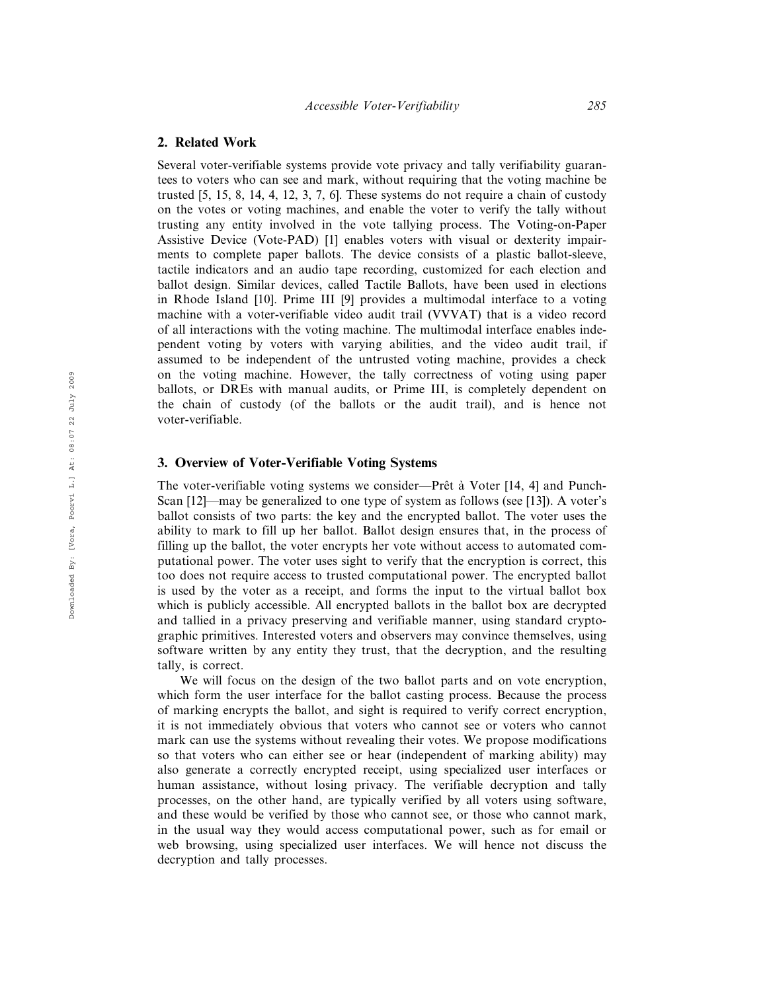#### 2. Related Work

Several voter-verifiable systems provide vote privacy and tally verifiability guarantees to voters who can see and mark, without requiring that the voting machine be trusted [5, 15, 8, 14, 4, 12, 3, 7, 6]. These systems do not require a chain of custody on the votes or voting machines, and enable the voter to verify the tally without trusting any entity involved in the vote tallying process. The Voting-on-Paper Assistive Device (Vote-PAD) [1] enables voters with visual or dexterity impairments to complete paper ballots. The device consists of a plastic ballot-sleeve, tactile indicators and an audio tape recording, customized for each election and ballot design. Similar devices, called Tactile Ballots, have been used in elections in Rhode Island [10]. Prime III [9] provides a multimodal interface to a voting machine with a voter-verifiable video audit trail (VVVAT) that is a video record of all interactions with the voting machine. The multimodal interface enables independent voting by voters with varying abilities, and the video audit trail, if assumed to be independent of the untrusted voting machine, provides a check on the voting machine. However, the tally correctness of voting using paper ballots, or DREs with manual audits, or Prime III, is completely dependent on the chain of custody (of the ballots or the audit trail), and is hence not voter-verifiable.

# 3. Overview of Voter-Verifiable Voting Systems

The voter-verifiable voting systems we consider—Prêt à Voter  $[14, 4]$  and Punch-Scan [12]—may be generalized to one type of system as follows (see [13]). A voter's ballot consists of two parts: the key and the encrypted ballot. The voter uses the ability to mark to fill up her ballot. Ballot design ensures that, in the process of filling up the ballot, the voter encrypts her vote without access to automated computational power. The voter uses sight to verify that the encryption is correct, this too does not require access to trusted computational power. The encrypted ballot is used by the voter as a receipt, and forms the input to the virtual ballot box which is publicly accessible. All encrypted ballots in the ballot box are decrypted and tallied in a privacy preserving and verifiable manner, using standard cryptographic primitives. Interested voters and observers may convince themselves, using software written by any entity they trust, that the decryption, and the resulting tally, is correct.

We will focus on the design of the two ballot parts and on vote encryption, which form the user interface for the ballot casting process. Because the process of marking encrypts the ballot, and sight is required to verify correct encryption, it is not immediately obvious that voters who cannot see or voters who cannot mark can use the systems without revealing their votes. We propose modifications so that voters who can either see or hear (independent of marking ability) may also generate a correctly encrypted receipt, using specialized user interfaces or human assistance, without losing privacy. The verifiable decryption and tally processes, on the other hand, are typically verified by all voters using software, and these would be verified by those who cannot see, or those who cannot mark, in the usual way they would access computational power, such as for email or web browsing, using specialized user interfaces. We will hence not discuss the decryption and tally processes.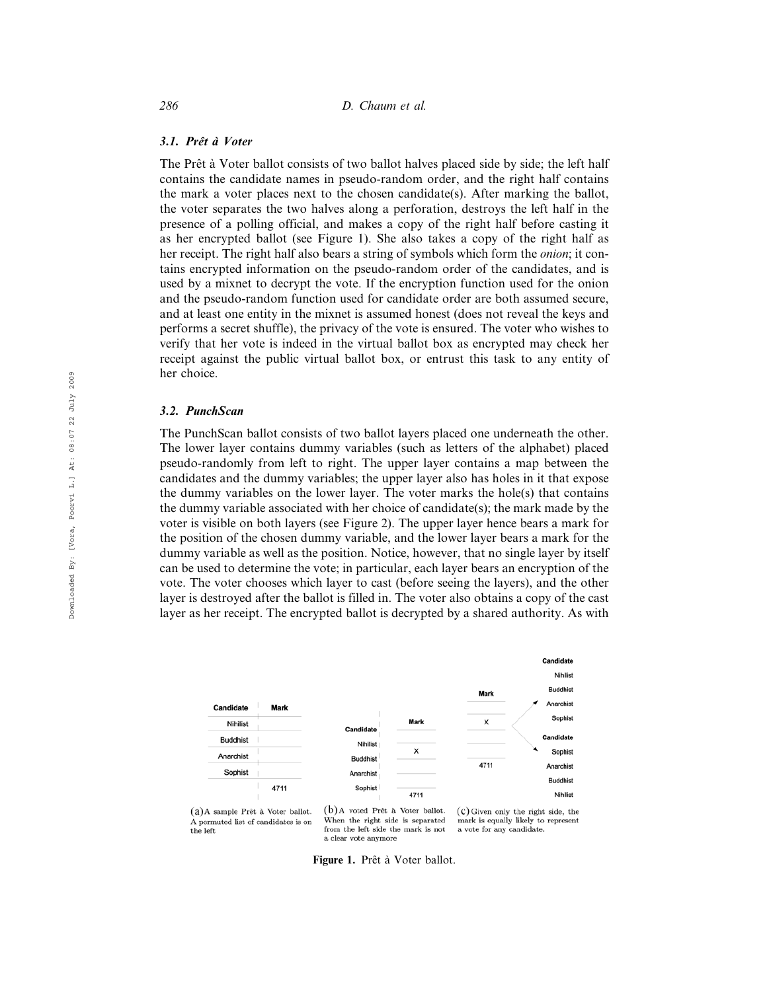#### 3.1. Prêt à Voter

The Prêt à Voter ballot consists of two ballot halves placed side by side; the left half contains the candidate names in pseudo-random order, and the right half contains the mark a voter places next to the chosen candidate(s). After marking the ballot, the voter separates the two halves along a perforation, destroys the left half in the presence of a polling official, and makes a copy of the right half before casting it as her encrypted ballot (see Figure 1). She also takes a copy of the right half as her receipt. The right half also bears a string of symbols which form the onion; it contains encrypted information on the pseudo-random order of the candidates, and is used by a mixnet to decrypt the vote. If the encryption function used for the onion and the pseudo-random function used for candidate order are both assumed secure, and at least one entity in the mixnet is assumed honest (does not reveal the keys and performs a secret shuffle), the privacy of the vote is ensured. The voter who wishes to verify that her vote is indeed in the virtual ballot box as encrypted may check her receipt against the public virtual ballot box, or entrust this task to any entity of her choice.

#### 3.2. PunchScan

The PunchScan ballot consists of two ballot layers placed one underneath the other. The lower layer contains dummy variables (such as letters of the alphabet) placed pseudo-randomly from left to right. The upper layer contains a map between the candidates and the dummy variables; the upper layer also has holes in it that expose the dummy variables on the lower layer. The voter marks the hole(s) that contains the dummy variable associated with her choice of candidate(s); the mark made by the voter is visible on both layers (see Figure 2). The upper layer hence bears a mark for the position of the chosen dummy variable, and the lower layer bears a mark for the dummy variable as well as the position. Notice, however, that no single layer by itself can be used to determine the vote; in particular, each layer bears an encryption of the vote. The voter chooses which layer to cast (before seeing the layers), and the other layer is destroyed after the ballot is filled in. The voter also obtains a copy of the cast layer as her receipt. The encrypted ballot is decrypted by a shared authority. As with



(a) A sample Prêt à Voter ballot. A permuted list of candidates is on the left

(b) A voted Prêt à Voter ballot. When the right side is separated from the left side the mark is not a clear vote anymore

(c) Given only the right side, the mark is equally likely to represent a vote for any candidate.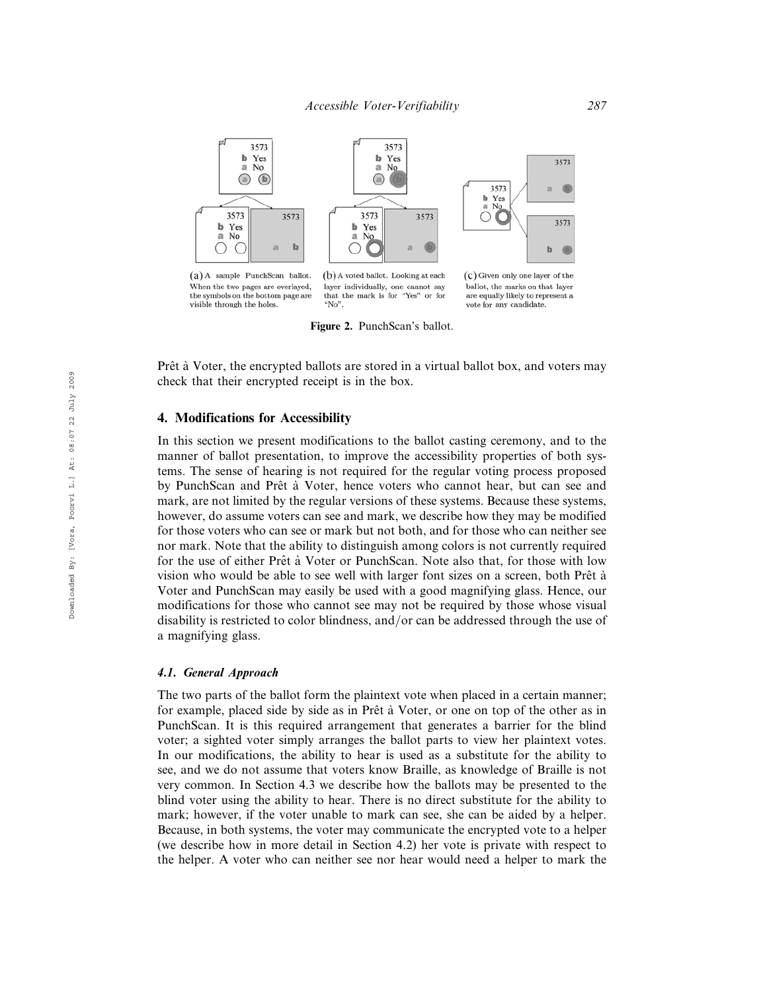

Figure 2. PunchScan's ballot.

Prêt à Voter, the encrypted ballots are stored in a virtual ballot box, and voters may check that their encrypted receipt is in the box.

# 4. Modifications for Accessibility

In this section we present modifications to the ballot casting ceremony, and to the manner of ballot presentation, to improve the accessibility properties of both systems. The sense of hearing is not required for the regular voting process proposed by PunchScan and Prêt à Voter, hence voters who cannot hear, but can see and mark, are not limited by the regular versions of these systems. Because these systems, however, do assume voters can see and mark, we describe how they may be modified for those voters who can see or mark but not both, and for those who can neither see nor mark. Note that the ability to distinguish among colors is not currently required for the use of either Prêt à Voter or PunchScan. Note also that, for those with low vision who would be able to see well with larger font sizes on a screen, both Prêt à Voter and PunchScan may easily be used with a good magnifying glass. Hence, our modifications for those who cannot see may not be required by those whose visual disability is restricted to color blindness, and/or can be addressed through the use of a magnifying glass.

#### 4.1. General Approach

The two parts of the ballot form the plaintext vote when placed in a certain manner; for example, placed side by side as in Prêt à Voter, or one on top of the other as in PunchScan. It is this required arrangement that generates a barrier for the blind voter; a sighted voter simply arranges the ballot parts to view her plaintext votes. In our modifications, the ability to hear is used as a substitute for the ability to see, and we do not assume that voters know Braille, as knowledge of Braille is not very common. In Section 4.3 we describe how the ballots may be presented to the blind voter using the ability to hear. There is no direct substitute for the ability to mark; however, if the voter unable to mark can see, she can be aided by a helper. Because, in both systems, the voter may communicate the encrypted vote to a helper (we describe how in more detail in Section 4.2) her vote is private with respect to the helper. A voter who can neither see nor hear would need a helper to mark the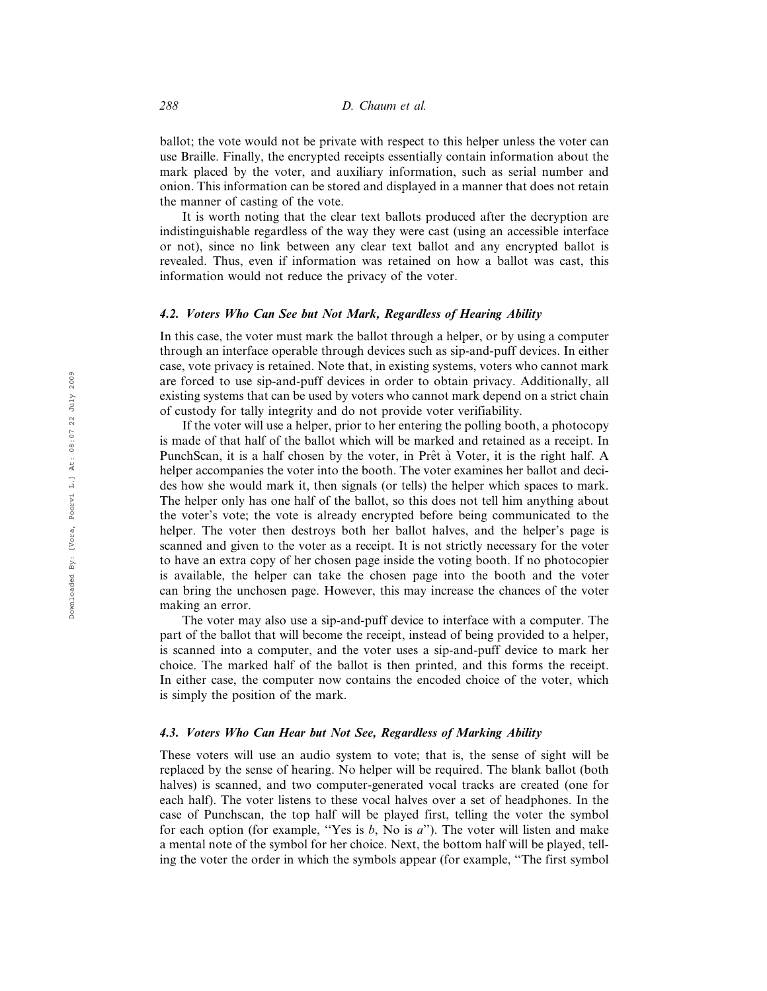ballot; the vote would not be private with respect to this helper unless the voter can use Braille. Finally, the encrypted receipts essentially contain information about the mark placed by the voter, and auxiliary information, such as serial number and onion. This information can be stored and displayed in a manner that does not retain the manner of casting of the vote.

It is worth noting that the clear text ballots produced after the decryption are indistinguishable regardless of the way they were cast (using an accessible interface or not), since no link between any clear text ballot and any encrypted ballot is revealed. Thus, even if information was retained on how a ballot was cast, this information would not reduce the privacy of the voter.

#### 4.2. Voters Who Can See but Not Mark, Regardless of Hearing Ability

In this case, the voter must mark the ballot through a helper, or by using a computer through an interface operable through devices such as sip-and-puff devices. In either case, vote privacy is retained. Note that, in existing systems, voters who cannot mark are forced to use sip-and-puff devices in order to obtain privacy. Additionally, all existing systems that can be used by voters who cannot mark depend on a strict chain of custody for tally integrity and do not provide voter verifiability.

If the voter will use a helper, prior to her entering the polling booth, a photocopy is made of that half of the ballot which will be marked and retained as a receipt. In PunchScan, it is a half chosen by the voter, in Prêt à Voter, it is the right half. A helper accompanies the voter into the booth. The voter examines her ballot and decides how she would mark it, then signals (or tells) the helper which spaces to mark. The helper only has one half of the ballot, so this does not tell him anything about the voter's vote; the vote is already encrypted before being communicated to the helper. The voter then destroys both her ballot halves, and the helper's page is scanned and given to the voter as a receipt. It is not strictly necessary for the voter to have an extra copy of her chosen page inside the voting booth. If no photocopier is available, the helper can take the chosen page into the booth and the voter can bring the unchosen page. However, this may increase the chances of the voter making an error.

The voter may also use a sip-and-puff device to interface with a computer. The part of the ballot that will become the receipt, instead of being provided to a helper, is scanned into a computer, and the voter uses a sip-and-puff device to mark her choice. The marked half of the ballot is then printed, and this forms the receipt. In either case, the computer now contains the encoded choice of the voter, which is simply the position of the mark.

#### 4.3. Voters Who Can Hear but Not See, Regardless of Marking Ability

These voters will use an audio system to vote; that is, the sense of sight will be replaced by the sense of hearing. No helper will be required. The blank ballot (both halves) is scanned, and two computer-generated vocal tracks are created (one for each half). The voter listens to these vocal halves over a set of headphones. In the case of Punchscan, the top half will be played first, telling the voter the symbol for each option (for example, "Yes is  $b$ , No is  $a$ "). The voter will listen and make a mental note of the symbol for her choice. Next, the bottom half will be played, telling the voter the order in which the symbols appear (for example, ''The first symbol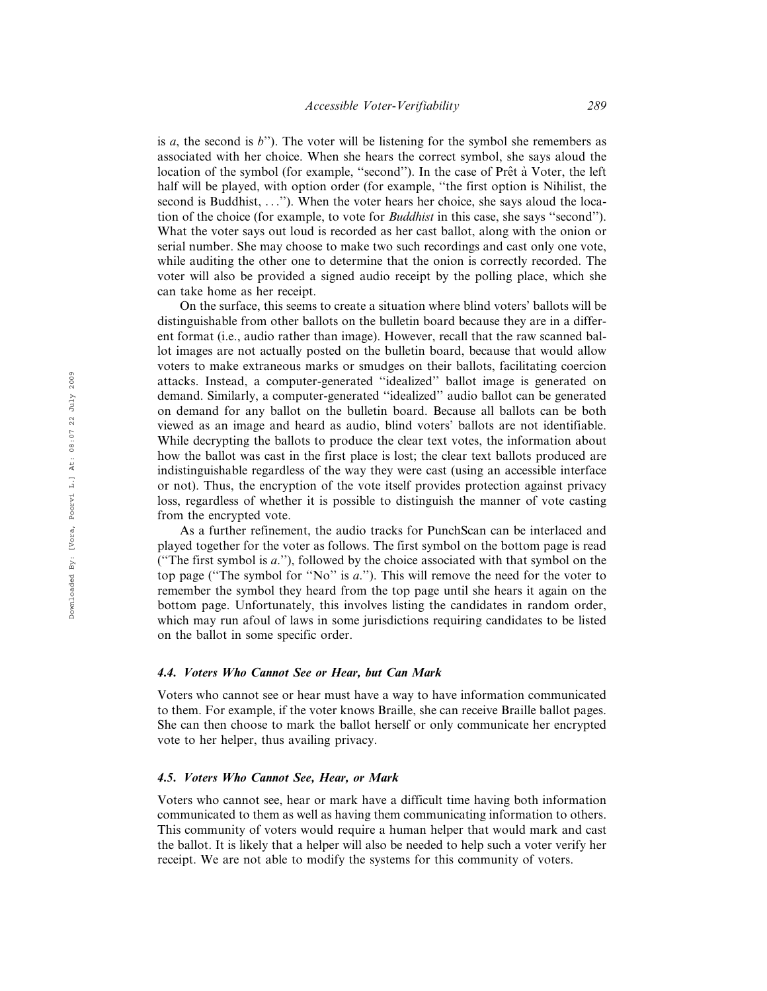is a, the second is  $b^{\prime\prime}$ ). The voter will be listening for the symbol she remembers as associated with her choice. When she hears the correct symbol, she says aloud the location of the symbol (for example, "second"). In the case of Prêt à Voter, the left half will be played, with option order (for example, ''the first option is Nihilist, the second is Buddhist, ...''). When the voter hears her choice, she says aloud the location of the choice (for example, to vote for Buddhist in this case, she says ''second''). What the voter says out loud is recorded as her cast ballot, along with the onion or serial number. She may choose to make two such recordings and cast only one vote, while auditing the other one to determine that the onion is correctly recorded. The voter will also be provided a signed audio receipt by the polling place, which she can take home as her receipt.

On the surface, this seems to create a situation where blind voters' ballots will be distinguishable from other ballots on the bulletin board because they are in a different format (i.e., audio rather than image). However, recall that the raw scanned ballot images are not actually posted on the bulletin board, because that would allow voters to make extraneous marks or smudges on their ballots, facilitating coercion attacks. Instead, a computer-generated ''idealized'' ballot image is generated on demand. Similarly, a computer-generated ''idealized'' audio ballot can be generated on demand for any ballot on the bulletin board. Because all ballots can be both viewed as an image and heard as audio, blind voters' ballots are not identifiable. While decrypting the ballots to produce the clear text votes, the information about how the ballot was cast in the first place is lost; the clear text ballots produced are indistinguishable regardless of the way they were cast (using an accessible interface or not). Thus, the encryption of the vote itself provides protection against privacy loss, regardless of whether it is possible to distinguish the manner of vote casting from the encrypted vote.

As a further refinement, the audio tracks for PunchScan can be interlaced and played together for the voter as follows. The first symbol on the bottom page is read ("The first symbol is  $a$ ."), followed by the choice associated with that symbol on the top page ("The symbol for "No" is  $a$ ."). This will remove the need for the voter to remember the symbol they heard from the top page until she hears it again on the bottom page. Unfortunately, this involves listing the candidates in random order, which may run afoul of laws in some jurisdictions requiring candidates to be listed on the ballot in some specific order.

#### 4.4. Voters Who Cannot See or Hear, but Can Mark

Voters who cannot see or hear must have a way to have information communicated to them. For example, if the voter knows Braille, she can receive Braille ballot pages. She can then choose to mark the ballot herself or only communicate her encrypted vote to her helper, thus availing privacy.

#### 4.5. Voters Who Cannot See, Hear, or Mark

Voters who cannot see, hear or mark have a difficult time having both information communicated to them as well as having them communicating information to others. This community of voters would require a human helper that would mark and cast the ballot. It is likely that a helper will also be needed to help such a voter verify her receipt. We are not able to modify the systems for this community of voters.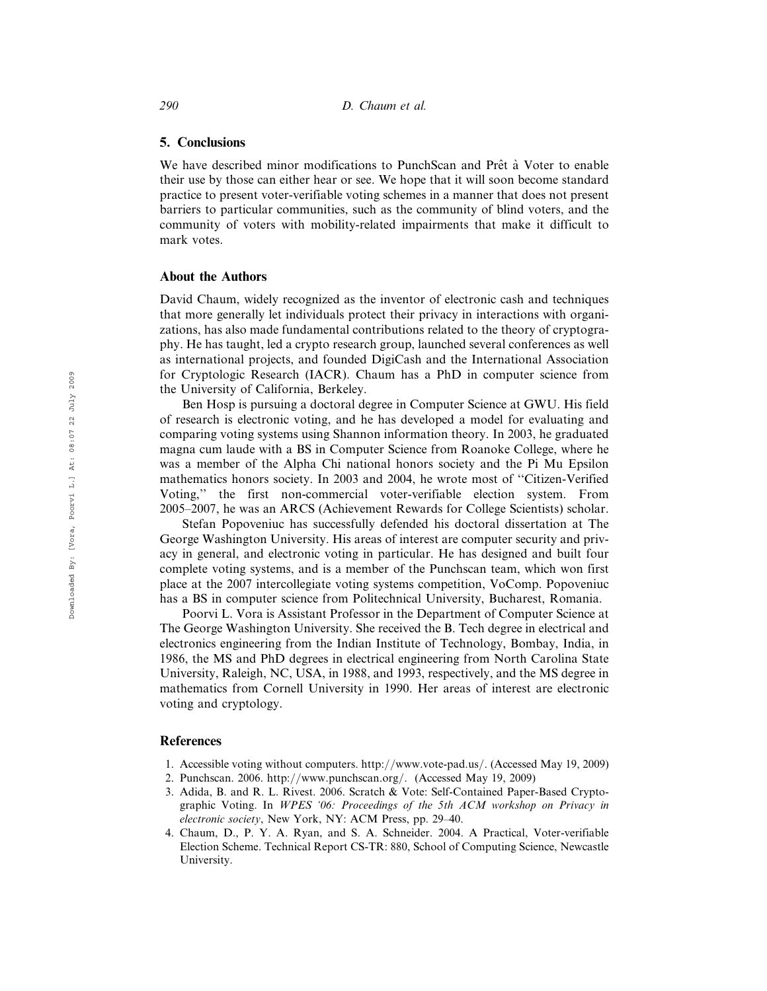#### 5. Conclusions

We have described minor modifications to PunchScan and Prêt à Voter to enable their use by those can either hear or see. We hope that it will soon become standard practice to present voter-verifiable voting schemes in a manner that does not present barriers to particular communities, such as the community of blind voters, and the community of voters with mobility-related impairments that make it difficult to mark votes.

#### About the Authors

David Chaum, widely recognized as the inventor of electronic cash and techniques that more generally let individuals protect their privacy in interactions with organizations, has also made fundamental contributions related to the theory of cryptography. He has taught, led a crypto research group, launched several conferences as well as international projects, and founded DigiCash and the International Association for Cryptologic Research (IACR). Chaum has a PhD in computer science from the University of California, Berkeley.

Ben Hosp is pursuing a doctoral degree in Computer Science at GWU. His field of research is electronic voting, and he has developed a model for evaluating and comparing voting systems using Shannon information theory. In 2003, he graduated magna cum laude with a BS in Computer Science from Roanoke College, where he was a member of the Alpha Chi national honors society and the Pi Mu Epsilon mathematics honors society. In 2003 and 2004, he wrote most of ''Citizen-Verified Voting,'' the first non-commercial voter-verifiable election system. From 2005–2007, he was an ARCS (Achievement Rewards for College Scientists) scholar.

Stefan Popoveniuc has successfully defended his doctoral dissertation at The George Washington University. His areas of interest are computer security and privacy in general, and electronic voting in particular. He has designed and built four complete voting systems, and is a member of the Punchscan team, which won first place at the 2007 intercollegiate voting systems competition, VoComp. Popoveniuc has a BS in computer science from Politechnical University, Bucharest, Romania.

Poorvi L. Vora is Assistant Professor in the Department of Computer Science at The George Washington University. She received the B. Tech degree in electrical and electronics engineering from the Indian Institute of Technology, Bombay, India, in 1986, the MS and PhD degrees in electrical engineering from North Carolina State University, Raleigh, NC, USA, in 1988, and 1993, respectively, and the MS degree in mathematics from Cornell University in 1990. Her areas of interest are electronic voting and cryptology.

### References

- 1. Accessible voting without computers. http://www.vote-pad.us/. (Accessed May 19, 2009)
- 2. Punchscan. 2006. http://www.punchscan.org/. (Accessed May 19, 2009)
- 3. Adida, B. and R. L. Rivest. 2006. Scratch & Vote: Self-Contained Paper-Based Cryptographic Voting. In WPES '06: Proceedings of the 5th ACM workshop on Privacy in electronic society, New York, NY: ACM Press, pp. 29–40.
- 4. Chaum, D., P. Y. A. Ryan, and S. A. Schneider. 2004. A Practical, Voter-verifiable Election Scheme. Technical Report CS-TR: 880, School of Computing Science, Newcastle University.